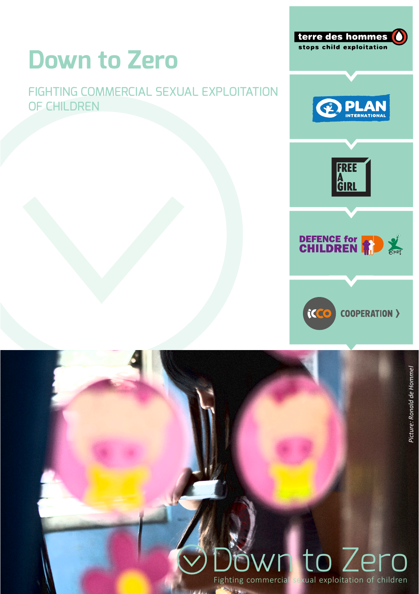# **Down to Zero**

### FIGHTING COMMERCIAL SEXUAL EXPLOITATION OF CHILDREN



terre des hommes

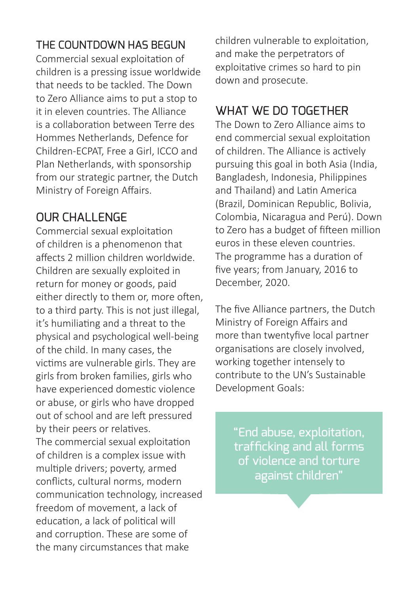#### THE COUNTDOWN HAS BEGUN

Commercial sexual exploitation of children is a pressing issue worldwide that needs to be tackled. The Down to Zero Alliance aims to put a stop to it in eleven countries. The Alliance is a collaboration between Terre des Hommes Netherlands, Defence for Children-ECPAT, Free a Girl, ICCO and Plan Netherlands, with sponsorship from our strategic partner, the Dutch Ministry of Foreign Affairs.

## OUR CHALL ENGE

Commercial sexual exploitation of children is a phenomenon that affects 2 million children worldwide. Children are sexually exploited in return for money or goods, paid either directly to them or, more often, to a third party. This is not just illegal. it's humiliating and a threat to the physical and psychological well-being of the child. In many cases, the victims are vulnerable girls. They are girls from broken families, girls who have experienced domestic violence or abuse, or girls who have dropped out of school and are left pressured by their peers or relatives.

The commercial sexual exploitation of children is a complex issue with multiple drivers; poverty, armed conflicts, cultural norms, modern communication technology, increased freedom of movement, a lack of education, a lack of political will and corruption. These are some of the many circumstances that make

children vulnerable to exploitation, and make the perpetrators of exploitative crimes so hard to pin down and prosecute.

## WHAT WE DO TOGETHER

The Down to Zero Alliance aims to end commercial sexual exploitation of children. The Alliance is actively pursuing this goal in both Asia (India, Bangladesh, Indonesia, Philippines and Thailand) and Latin America (Brazil, Dominican Republic, Bolivia, Colombia, Nicaragua and Perú). Down to Zero has a budget of fifteen million euros in these eleven countries. The programme has a duration of five years; from January, 2016 to December, 2020.

The five Alliance partners, the Dutch Ministry of Foreign Affairs and more than twentyfive local partner organisations are closely involved, working together intensely to contribute to the UN's Sustainable Development Goals:

> "End abuse, exploitation, trafficking and all forms of violence and torture against children"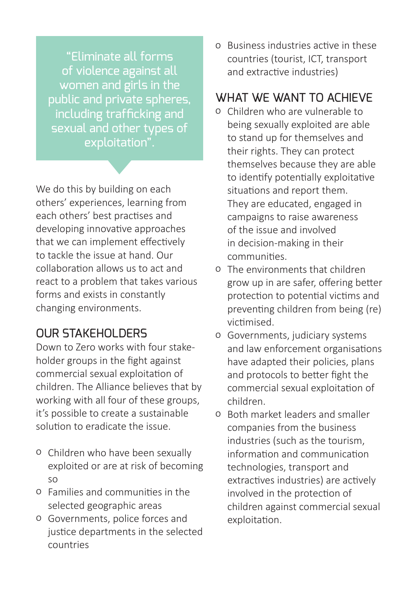"Eliminate all forms of violence against all women and girls in the public and private spheres, including trafficking and sexual and other types of exploitation".

We do this by building on each others' experiences, learning from each others' best practises and developing innovative approaches that we can implement effectively to tackle the issue at hand. Our collaboration allows us to act and react to a problem that takes various forms and exists in constantly changing environments.

#### **OUR STAKEHOLDERS**

Down to Zero works with four stakeholder groups in the fight against commercial sexual exploitation of children. The Alliance believes that by working with all four of these groups, it's possible to create a sustainable solution to eradicate the issue.

- o Children who have been sexually exploited or are at risk of becoming so
- o Families and communities in the selected geographic areas
- o Governments, police forces and justice departments in the selected countries

o Business industries active in these countries (tourist, ICT, transport and extractive industries)

#### WHAT WE WANT TO ACHIEVE

- o Children who are vulnerable to being sexually exploited are able to stand up for themselves and their rights. They can protect themselves because they are able to identify potentially exploitative situations and report them. They are educated, engaged in campaigns to raise awareness of the issue and involved in decision-making in their communities.
- o The environments that children grow up in are safer, offering better protection to potential victims and preventing children from being (re) victimised.
- o Governments, judiciary systems and law enforcement organisations have adapted their policies, plans and protocols to better fight the commercial sexual exploitation of children.
- o Both market leaders and smaller companies from the business industries (such as the tourism, information and communication technologies, transport and extractives industries) are actively involved in the protection of children against commercial sexual exploitation.